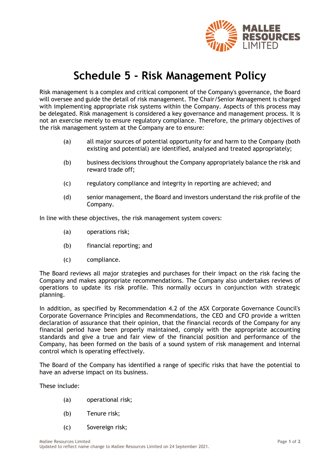

## **Schedule 5 - Risk Management Policy**

Risk management is a complex and critical component of the Company's governance, the Board will oversee and guide the detail of risk management. The Chair/Senior Management is charged with implementing appropriate risk systems within the Company. Aspects of this process may be delegated. Risk management is considered a key governance and management process. It is not an exercise merely to ensure regulatory compliance. Therefore, the primary objectives of the risk management system at the Company are to ensure:

- (a) all major sources of potential opportunity for and harm to the Company (both existing and potential) are identified, analysed and treated appropriately;
- (b) business decisions throughout the Company appropriately balance the risk and reward trade off;
- (c) regulatory compliance and integrity in reporting are achieved; and
- (d) senior management, the Board and investors understand the risk profile of the Company.

In line with these objectives, the risk management system covers:

- (a) operations risk;
- (b) financial reporting; and
- (c) compliance.

The Board reviews all major strategies and purchases for their impact on the risk facing the Company and makes appropriate recommendations. The Company also undertakes reviews of operations to update its risk profile. This normally occurs in conjunction with strategic planning.

In addition, as specified by Recommendation 4.2 of the ASX Corporate Governance Council's Corporate Governance Principles and Recommendations, the CEO and CFO provide a written declaration of assurance that their opinion, that the financial records of the Company for any financial period have been properly maintained, comply with the appropriate accounting standards and give a true and fair view of the financial position and performance of the Company, has been formed on the basis of a sound system of risk management and internal control which is operating effectively.

The Board of the Company has identified a range of specific risks that have the potential to have an adverse impact on its business.

These include:

- (a) operational risk;
- (b) Tenure risk;
- (c) Sovereign risk;